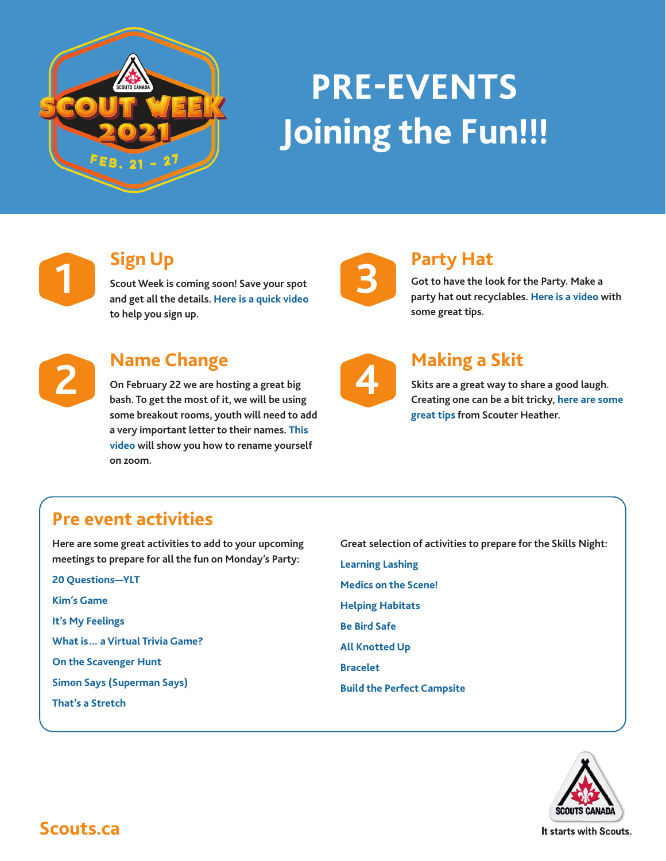

# **PRE-EVENTS Joining the Fun!!!**



# **Sign Up**

**Scout Week is coming soon! Save your spot and get all the details. [Here is a quick video](https://youtu.be/URkHzHKs15k) to help you sign up.** 



## **Name Change**

**On February 22 we are hosting a great big bash. To get the most of it, we will be using some breakout rooms, youth will need to add a very important letter to their names. [This](https://youtu.be/viomlaRlQo4)  [video](https://youtu.be/viomlaRlQo4) will show you how to rename yourself on zoom.** 



# **Party Hat**

**Got to have the look for the Party. Make a party hat out recyclables. [Here is a video](https://youtu.be/YmZ2ztmH20w) with some great tips.**

# **[Making a Skit](https://youtu.be/3tfsZuvDUOk)**

**Skits are a great way to share a good laugh. Creating one can be a bit tricky, [here are some](https://www.youtube.com/watch?v=HBriaXsG7bM&feature=youtu.be)  [great tips](https://www.youtube.com/watch?v=HBriaXsG7bM&feature=youtu.be) from Scouter Heather.**

# **Pre event activities**

**Here are some great activities to add to your upcoming meetings to prepare for all the fun on Monday's Party:**

**[20 Questions—YLT](https://www.scouts.ca/resources/activity-finder/activity-finder/test-activity.html) [Kim's Game](https://www.scouts.ca/resources/activity-finder/activity-finder/kims-game.html) [It's My Feelings](https://www.scouts.ca/resources/activity-finder/activity-finder/its-my-feelings.html) [What is… a Virtual Trivia Game?](https://www.scouts.ca/resources/activity-finder/activity-finder/what-is-a-virtual-trivia-game.html) [On the Scavenger Hunt](https://www.scouts.ca/resources/activity-finder/activity-finder/on-the-hunt.html) [Simon Says \(Superman Says\)](https://scoutsca.s3.amazonaws.com/2019/02/tc-ylt-bs-superman-says.pdf) [That's a Stretch](https://www.scouts.ca/resources/activity-finder/activity-finder/thats-a-stretch.html)**

**Great selection of activities to prepare for the Skills Night: [Learning Lashing](https://www.scouts.ca/resources/activity-finder/activity-finder/learning-lashing.html) [Medics on the Scene!](https://www.scouts.ca/resources/activity-finder/activity-finder/medics-on-the-scene.html) [Helping Habitats](https://www.scouts.ca/resources/activity-finder/activity-finder/helping-habitats.html) [Be Bird Safe](https://www.scouts.ca/resources/activity-finder/activity-finder/be-bird-safe.html) [All Knotted Up](https://www.scouts.ca/programs/scouting-at-home/blast-off.html) [Bracelet](https://www.scouts.ca/resources/activity-finder/activity-finder/bracelet.html) [Build the Perfect Campsite](https://www.scouts.ca/programs/scouting-at-home/build-it-better.html)**



**Scouts.ca**

It starts with Scouts.